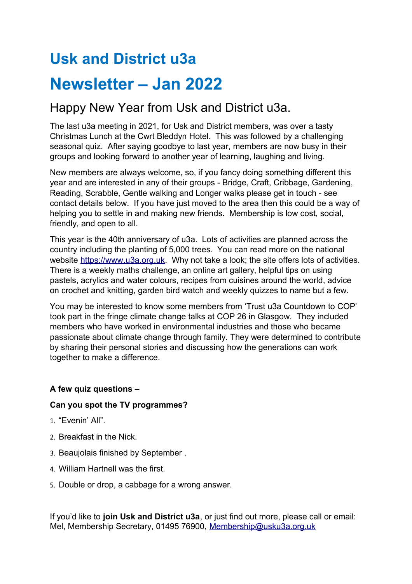## **Usk and District u3a**

# **Newsletter – Jan 2022**

### Happy New Year from Usk and District u3a.

The last u3a meeting in 2021, for Usk and District members, was over a tasty Christmas Lunch at the Cwrt Bleddyn Hotel. This was followed by a challenging seasonal quiz. After saying goodbye to last year, members are now busy in their groups and looking forward to another year of learning, laughing and living.

New members are always welcome, so, if you fancy doing something different this year and are interested in any of their groups - Bridge, Craft, Cribbage, Gardening, Reading, Scrabble, Gentle walking and Longer walks please get in touch - see contact details below. If you have just moved to the area then this could be a way of helping you to settle in and making new friends. Membership is low cost, social, friendly, and open to all.

This year is the 40th anniversary of u3a. Lots of activities are planned across the country including the planting of 5,000 trees. You can read more on the national website [https://www.u3a.org.uk.](https://www.u3a.org.uk/) Why not take a look; the site offers lots of activities. There is a weekly maths challenge, an online art gallery, helpful tips on using pastels, acrylics and water colours, recipes from cuisines around the world, advice on crochet and knitting, garden bird watch and weekly quizzes to name but a few.

You may be interested to know some members from 'Trust u3a Countdown to COP' took part in the fringe climate change talks at COP 26 in Glasgow. They included members who have worked in environmental industries and those who became passionate about climate change through family. They were determined to contribute by sharing their personal stories and discussing how the generations can work together to make a difference.

#### **A few quiz questions –**

#### **Can you spot the TV programmes?**

- 1. "Evenin' All".
- 2. Breakfast in the Nick.
- 3. Beaujolais finished by September .
- 4. William Hartnell was the first.
- 5. Double or drop, a cabbage for a wrong answer.

If you'd like to **join Usk and District u3a**, or just find out more, please call or email: Mel, Membership Secretary, 01495 76900, [Membership@usku3a.org.uk](mailto:Membership@usku3a.org.uk)